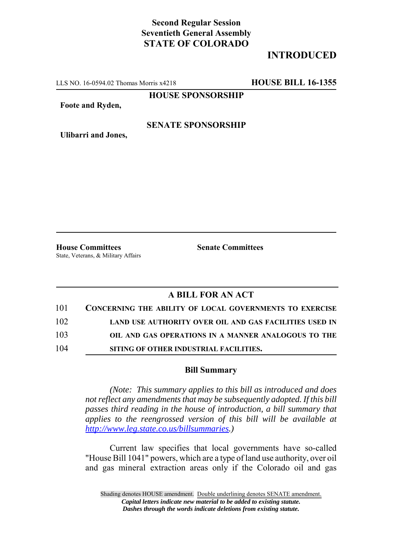## **Second Regular Session Seventieth General Assembly STATE OF COLORADO**

# **INTRODUCED**

LLS NO. 16-0594.02 Thomas Morris x4218 **HOUSE BILL 16-1355**

**HOUSE SPONSORSHIP**

**Foote and Ryden,**

### **SENATE SPONSORSHIP**

**Ulibarri and Jones,**

**House Committees Senate Committees** State, Veterans, & Military Affairs

### **A BILL FOR AN ACT**

| 101 | <b>CONCERNING THE ABILITY OF LOCAL GOVERNMENTS TO EXERCISE</b> |
|-----|----------------------------------------------------------------|
| 102 | LAND USE AUTHORITY OVER OIL AND GAS FACILITIES USED IN         |
| 103 | OIL AND GAS OPERATIONS IN A MANNER ANALOGOUS TO THE            |
| 104 | SITING OF OTHER INDUSTRIAL FACILITIES.                         |

#### **Bill Summary**

*(Note: This summary applies to this bill as introduced and does not reflect any amendments that may be subsequently adopted. If this bill passes third reading in the house of introduction, a bill summary that applies to the reengrossed version of this bill will be available at http://www.leg.state.co.us/billsummaries.)*

Current law specifies that local governments have so-called "House Bill 1041" powers, which are a type of land use authority, over oil and gas mineral extraction areas only if the Colorado oil and gas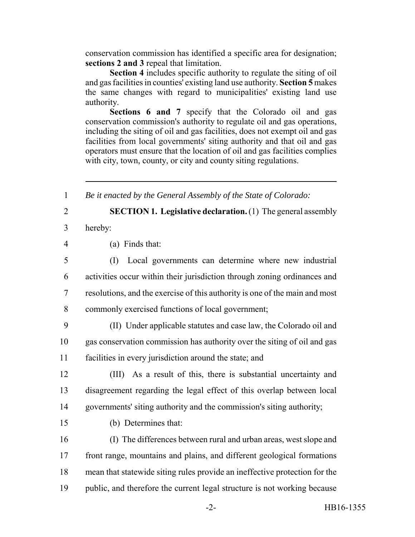conservation commission has identified a specific area for designation; **sections 2 and 3** repeal that limitation.

**Section 4** includes specific authority to regulate the siting of oil and gas facilities in counties' existing land use authority. **Section 5** makes the same changes with regard to municipalities' existing land use authority.

**Sections 6 and 7** specify that the Colorado oil and gas conservation commission's authority to regulate oil and gas operations, including the siting of oil and gas facilities, does not exempt oil and gas facilities from local governments' siting authority and that oil and gas operators must ensure that the location of oil and gas facilities complies with city, town, county, or city and county siting regulations.

1 *Be it enacted by the General Assembly of the State of Colorado:*

2 **SECTION 1. Legislative declaration.** (1) The general assembly

- 3 hereby:
- 4 (a) Finds that:

 (I) Local governments can determine where new industrial activities occur within their jurisdiction through zoning ordinances and resolutions, and the exercise of this authority is one of the main and most commonly exercised functions of local government;

9 (II) Under applicable statutes and case law, the Colorado oil and 10 gas conservation commission has authority over the siting of oil and gas 11 facilities in every jurisdiction around the state; and

12 (III) As a result of this, there is substantial uncertainty and 13 disagreement regarding the legal effect of this overlap between local 14 governments' siting authority and the commission's siting authority;

- 
- 15 (b) Determines that:

 (I) The differences between rural and urban areas, west slope and front range, mountains and plains, and different geological formations mean that statewide siting rules provide an ineffective protection for the public, and therefore the current legal structure is not working because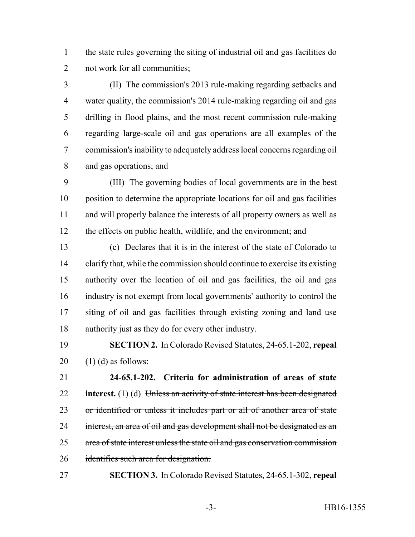the state rules governing the siting of industrial oil and gas facilities do not work for all communities;

 (II) The commission's 2013 rule-making regarding setbacks and water quality, the commission's 2014 rule-making regarding oil and gas drilling in flood plains, and the most recent commission rule-making regarding large-scale oil and gas operations are all examples of the commission's inability to adequately address local concerns regarding oil and gas operations; and

 (III) The governing bodies of local governments are in the best position to determine the appropriate locations for oil and gas facilities and will properly balance the interests of all property owners as well as the effects on public health, wildlife, and the environment; and

 (c) Declares that it is in the interest of the state of Colorado to clarify that, while the commission should continue to exercise its existing authority over the location of oil and gas facilities, the oil and gas industry is not exempt from local governments' authority to control the siting of oil and gas facilities through existing zoning and land use authority just as they do for every other industry.

 **SECTION 2.** In Colorado Revised Statutes, 24-65.1-202, **repeal** (1) (d) as follows:

 **24-65.1-202. Criteria for administration of areas of state interest.** (1) (d) Unless an activity of state interest has been designated 23 or identified or unless it includes part or all of another area of state 24 interest, an area of oil and gas development shall not be designated as an 25 area of state interest unless the state oil and gas conservation commission 26 identifies such area for designation.

**SECTION 3.** In Colorado Revised Statutes, 24-65.1-302, **repeal**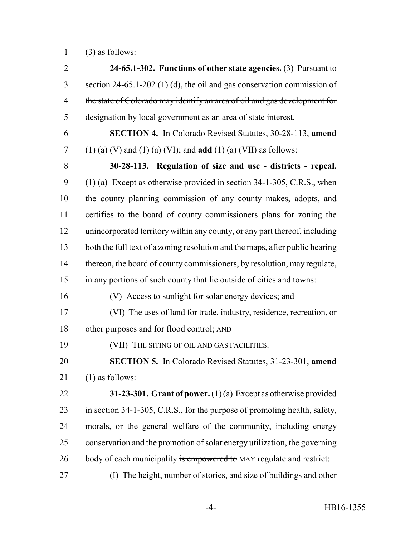(3) as follows:

 **24-65.1-302. Functions of other state agencies.** (3) Pursuant to 3 section  $24-65.1-202$  (1) (d), the oil and gas conservation commission of 4 the state of Colorado may identify an area of oil and gas development for designation by local government as an area of state interest. **SECTION 4.** In Colorado Revised Statutes, 30-28-113, **amend** (1) (a) (V) and (1) (a) (VI); and **add** (1) (a) (VII) as follows: **30-28-113. Regulation of size and use - districts - repeal.** (1) (a) Except as otherwise provided in section 34-1-305, C.R.S., when the county planning commission of any county makes, adopts, and certifies to the board of county commissioners plans for zoning the unincorporated territory within any county, or any part thereof, including both the full text of a zoning resolution and the maps, after public hearing 14 thereon, the board of county commissioners, by resolution, may regulate, in any portions of such county that lie outside of cities and towns: 16 (V) Access to sunlight for solar energy devices; and (VI) The uses of land for trade, industry, residence, recreation, or other purposes and for flood control; AND (VII) THE SITING OF OIL AND GAS FACILITIES. **SECTION 5.** In Colorado Revised Statutes, 31-23-301, **amend** (1) as follows: **31-23-301. Grant of power.** (1) (a) Except as otherwise provided in section 34-1-305, C.R.S., for the purpose of promoting health, safety, morals, or the general welfare of the community, including energy conservation and the promotion of solar energy utilization, the governing 26 body of each municipality is empowered to MAY regulate and restrict: (I) The height, number of stories, and size of buildings and other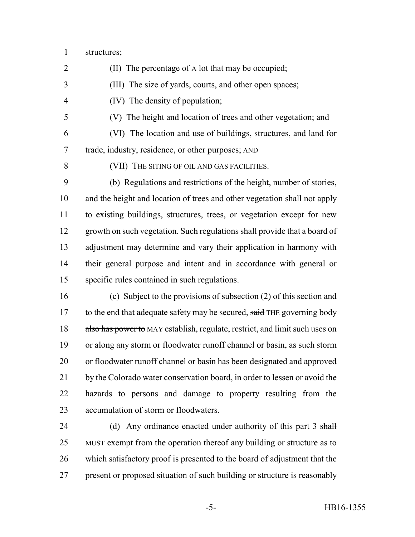structures;

(II) The percentage of A lot that may be occupied;

(III) The size of yards, courts, and other open spaces;

(IV) The density of population;

(V) The height and location of trees and other vegetation; and

 (VI) The location and use of buildings, structures, and land for trade, industry, residence, or other purposes; AND

(VII) THE SITING OF OIL AND GAS FACILITIES.

 (b) Regulations and restrictions of the height, number of stories, and the height and location of trees and other vegetation shall not apply to existing buildings, structures, trees, or vegetation except for new growth on such vegetation. Such regulations shall provide that a board of adjustment may determine and vary their application in harmony with their general purpose and intent and in accordance with general or specific rules contained in such regulations.

16 (c) Subject to the provisions of subsection (2) of this section and 17 to the end that adequate safety may be secured, said THE governing body 18 also has power to MAY establish, regulate, restrict, and limit such uses on or along any storm or floodwater runoff channel or basin, as such storm or floodwater runoff channel or basin has been designated and approved 21 by the Colorado water conservation board, in order to lessen or avoid the hazards to persons and damage to property resulting from the accumulation of storm or floodwaters.

24 (d) Any ordinance enacted under authority of this part 3 shall MUST exempt from the operation thereof any building or structure as to which satisfactory proof is presented to the board of adjustment that the present or proposed situation of such building or structure is reasonably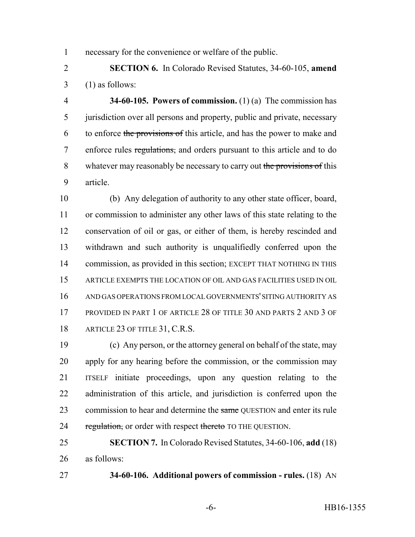necessary for the convenience or welfare of the public.

 **SECTION 6.** In Colorado Revised Statutes, 34-60-105, **amend**  $3 \quad (1)$  as follows:

 **34-60-105. Powers of commission.** (1) (a) The commission has jurisdiction over all persons and property, public and private, necessary 6 to enforce the provisions of this article, and has the power to make and enforce rules regulations, and orders pursuant to this article and to do 8 whatever may reasonably be necessary to carry out the provisions of this article.

 (b) Any delegation of authority to any other state officer, board, or commission to administer any other laws of this state relating to the conservation of oil or gas, or either of them, is hereby rescinded and withdrawn and such authority is unqualifiedly conferred upon the 14 commission, as provided in this section; EXCEPT THAT NOTHING IN THIS ARTICLE EXEMPTS THE LOCATION OF OIL AND GAS FACILITIES USED IN OIL AND GAS OPERATIONS FROM LOCAL GOVERNMENTS' SITING AUTHORITY AS 17 PROVIDED IN PART 1 OF ARTICLE 28 OF TITLE 30 AND PARTS 2 AND 3 OF 18 ARTICLE 23 OF TITLE 31, C.R.S.

 (c) Any person, or the attorney general on behalf of the state, may apply for any hearing before the commission, or the commission may ITSELF initiate proceedings, upon any question relating to the administration of this article, and jurisdiction is conferred upon the 23 commission to hear and determine the same QUESTION and enter its rule 24 regulation, or order with respect thereto TO THE QUESTION.

 **SECTION 7.** In Colorado Revised Statutes, 34-60-106, **add** (18) as follows:

**34-60-106. Additional powers of commission - rules.** (18) AN